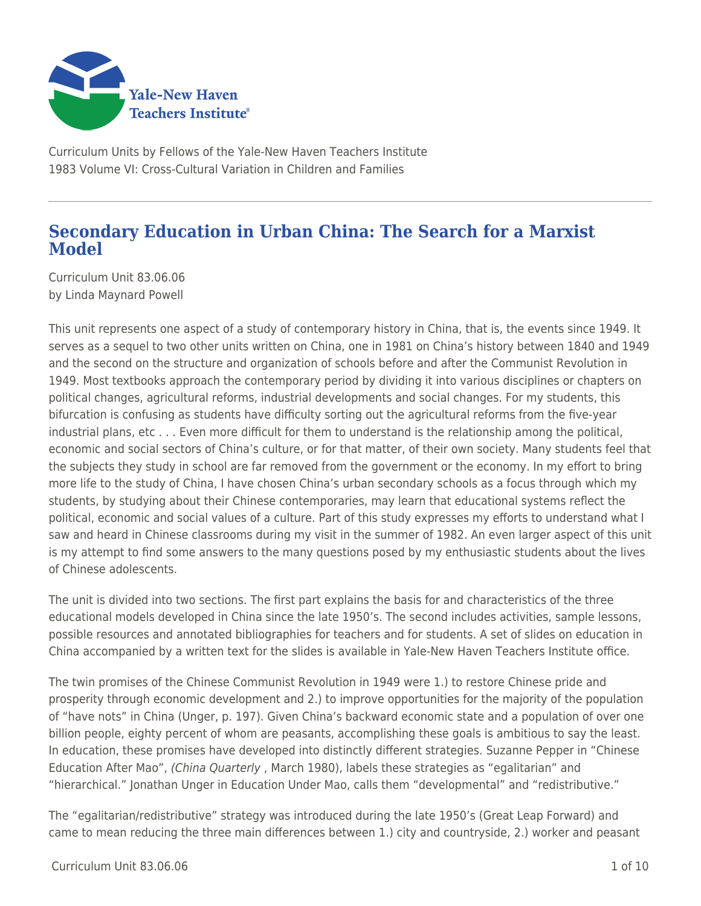

Curriculum Units by Fellows of the Yale-New Haven Teachers Institute 1983 Volume VI: Cross-Cultural Variation in Children and Families

## **Secondary Education in Urban China: The Search for a Marxist Model**

Curriculum Unit 83.06.06 by Linda Maynard Powell

This unit represents one aspect of a study of contemporary history in China, that is, the events since 1949. It serves as a sequel to two other units written on China, one in 1981 on China's history between 1840 and 1949 and the second on the structure and organization of schools before and after the Communist Revolution in 1949. Most textbooks approach the contemporary period by dividing it into various disciplines or chapters on political changes, agricultural reforms, industrial developments and social changes. For my students, this bifurcation is confusing as students have difficulty sorting out the agricultural reforms from the five-year industrial plans, etc . . . Even more difficult for them to understand is the relationship among the political, economic and social sectors of China's culture, or for that matter, of their own society. Many students feel that the subjects they study in school are far removed from the government or the economy. In my effort to bring more life to the study of China, I have chosen China's urban secondary schools as a focus through which my students, by studying about their Chinese contemporaries, may learn that educational systems reflect the political, economic and social values of a culture. Part of this study expresses my efforts to understand what I saw and heard in Chinese classrooms during my visit in the summer of 1982. An even larger aspect of this unit is my attempt to find some answers to the many questions posed by my enthusiastic students about the lives of Chinese adolescents.

The unit is divided into two sections. The first part explains the basis for and characteristics of the three educational models developed in China since the late 1950's. The second includes activities, sample lessons, possible resources and annotated bibliographies for teachers and for students. A set of slides on education in China accompanied by a written text for the slides is available in Yale-New Haven Teachers Institute office.

The twin promises of the Chinese Communist Revolution in 1949 were 1.) to restore Chinese pride and prosperity through economic development and 2.) to improve opportunities for the majority of the population of "have nots" in China (Unger, p. 197). Given China's backward economic state and a population of over one billion people, eighty percent of whom are peasants, accomplishing these goals is ambitious to say the least. In education, these promises have developed into distinctly different strategies. Suzanne Pepper in "Chinese Education After Mao", (China Quarterly , March 1980), labels these strategies as "egalitarian" and "hierarchical." Jonathan Unger in Education Under Mao, calls them "developmental" and "redistributive."

The "egalitarian/redistributive" strategy was introduced during the late 1950's (Great Leap Forward) and came to mean reducing the three main differences between 1.) city and countryside, 2.) worker and peasant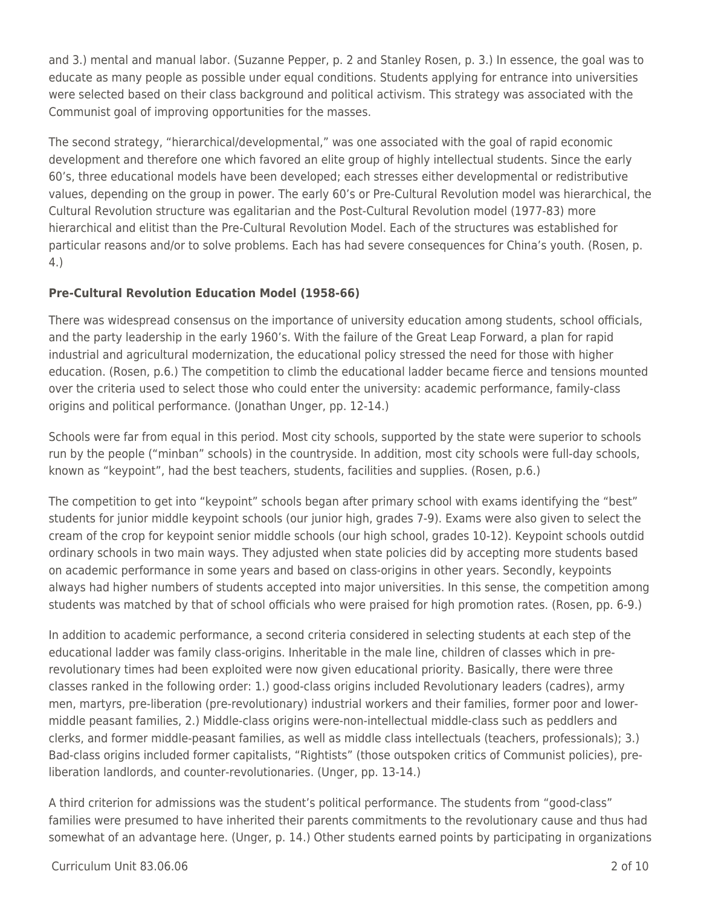and 3.) mental and manual labor. (Suzanne Pepper, p. 2 and Stanley Rosen, p. 3.) In essence, the goal was to educate as many people as possible under equal conditions. Students applying for entrance into universities were selected based on their class background and political activism. This strategy was associated with the Communist goal of improving opportunities for the masses.

The second strategy, "hierarchical/developmental," was one associated with the goal of rapid economic development and therefore one which favored an elite group of highly intellectual students. Since the early 60's, three educational models have been developed; each stresses either developmental or redistributive values, depending on the group in power. The early 60's or Pre-Cultural Revolution model was hierarchical, the Cultural Revolution structure was egalitarian and the Post-Cultural Revolution model (1977-83) more hierarchical and elitist than the Pre-Cultural Revolution Model. Each of the structures was established for particular reasons and/or to solve problems. Each has had severe consequences for China's youth. (Rosen, p. 4.)

### **Pre-Cultural Revolution Education Model (1958-66)**

There was widespread consensus on the importance of university education among students, school officials, and the party leadership in the early 1960's. With the failure of the Great Leap Forward, a plan for rapid industrial and agricultural modernization, the educational policy stressed the need for those with higher education. (Rosen, p.6.) The competition to climb the educational ladder became fierce and tensions mounted over the criteria used to select those who could enter the university: academic performance, family-class origins and political performance. (Jonathan Unger, pp. 12-14.)

Schools were far from equal in this period. Most city schools, supported by the state were superior to schools run by the people ("minban" schools) in the countryside. In addition, most city schools were full-day schools, known as "keypoint", had the best teachers, students, facilities and supplies. (Rosen, p.6.)

The competition to get into "keypoint" schools began after primary school with exams identifying the "best" students for junior middle keypoint schools (our junior high, grades 7-9). Exams were also given to select the cream of the crop for keypoint senior middle schools (our high school, grades 10-12). Keypoint schools outdid ordinary schools in two main ways. They adjusted when state policies did by accepting more students based on academic performance in some years and based on class-origins in other years. Secondly, keypoints always had higher numbers of students accepted into major universities. In this sense, the competition among students was matched by that of school officials who were praised for high promotion rates. (Rosen, pp. 6-9.)

In addition to academic performance, a second criteria considered in selecting students at each step of the educational ladder was family class-origins. Inheritable in the male line, children of classes which in prerevolutionary times had been exploited were now given educational priority. Basically, there were three classes ranked in the following order: 1.) good-class origins included Revolutionary leaders (cadres), army men, martyrs, pre-liberation (pre-revolutionary) industrial workers and their families, former poor and lowermiddle peasant families, 2.) Middle-class origins were-non-intellectual middle-class such as peddlers and clerks, and former middle-peasant families, as well as middle class intellectuals (teachers, professionals); 3.) Bad-class origins included former capitalists, "Rightists" (those outspoken critics of Communist policies), preliberation landlords, and counter-revolutionaries. (Unger, pp. 13-14.)

A third criterion for admissions was the student's political performance. The students from "good-class" families were presumed to have inherited their parents commitments to the revolutionary cause and thus had somewhat of an advantage here. (Unger, p. 14.) Other students earned points by participating in organizations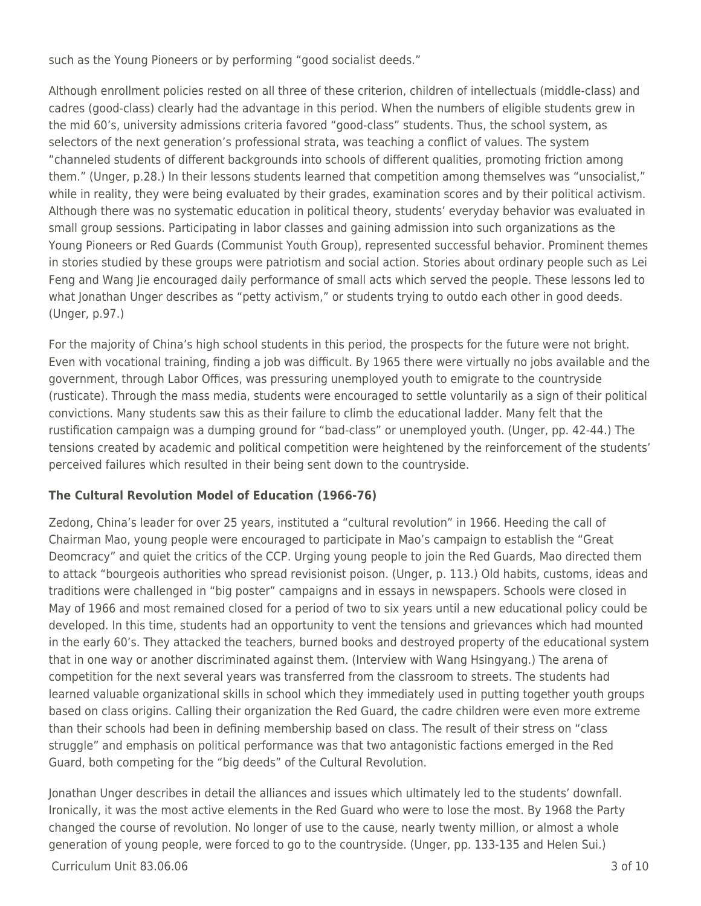such as the Young Pioneers or by performing "good socialist deeds."

Although enrollment policies rested on all three of these criterion, children of intellectuals (middle-class) and cadres (good-class) clearly had the advantage in this period. When the numbers of eligible students grew in the mid 60's, university admissions criteria favored "good-class" students. Thus, the school system, as selectors of the next generation's professional strata, was teaching a conflict of values. The system "channeled students of different backgrounds into schools of different qualities, promoting friction among them." (Unger, p.28.) In their lessons students learned that competition among themselves was "unsocialist," while in reality, they were being evaluated by their grades, examination scores and by their political activism. Although there was no systematic education in political theory, students' everyday behavior was evaluated in small group sessions. Participating in labor classes and gaining admission into such organizations as the Young Pioneers or Red Guards (Communist Youth Group), represented successful behavior. Prominent themes in stories studied by these groups were patriotism and social action. Stories about ordinary people such as Lei Feng and Wang Jie encouraged daily performance of small acts which served the people. These lessons led to what Jonathan Unger describes as "petty activism," or students trying to outdo each other in good deeds. (Unger, p.97.)

For the majority of China's high school students in this period, the prospects for the future were not bright. Even with vocational training, finding a job was difficult. By 1965 there were virtually no jobs available and the government, through Labor Offices, was pressuring unemployed youth to emigrate to the countryside (rusticate). Through the mass media, students were encouraged to settle voluntarily as a sign of their political convictions. Many students saw this as their failure to climb the educational ladder. Many felt that the rustification campaign was a dumping ground for "bad-class" or unemployed youth. (Unger, pp. 42-44.) The tensions created by academic and political competition were heightened by the reinforcement of the students' perceived failures which resulted in their being sent down to the countryside.

### **The Cultural Revolution Model of Education (1966-76)**

Zedong, China's leader for over 25 years, instituted a "cultural revolution" in 1966. Heeding the call of Chairman Mao, young people were encouraged to participate in Mao's campaign to establish the "Great Deomcracy" and quiet the critics of the CCP. Urging young people to join the Red Guards, Mao directed them to attack "bourgeois authorities who spread revisionist poison. (Unger, p. 113.) Old habits, customs, ideas and traditions were challenged in "big poster" campaigns and in essays in newspapers. Schools were closed in May of 1966 and most remained closed for a period of two to six years until a new educational policy could be developed. In this time, students had an opportunity to vent the tensions and grievances which had mounted in the early 60's. They attacked the teachers, burned books and destroyed property of the educational system that in one way or another discriminated against them. (Interview with Wang Hsingyang.) The arena of competition for the next several years was transferred from the classroom to streets. The students had learned valuable organizational skills in school which they immediately used in putting together youth groups based on class origins. Calling their organization the Red Guard, the cadre children were even more extreme than their schools had been in defining membership based on class. The result of their stress on "class struggle" and emphasis on political performance was that two antagonistic factions emerged in the Red Guard, both competing for the "big deeds" of the Cultural Revolution.

Jonathan Unger describes in detail the alliances and issues which ultimately led to the students' downfall. Ironically, it was the most active elements in the Red Guard who were to lose the most. By 1968 the Party changed the course of revolution. No longer of use to the cause, nearly twenty million, or almost a whole generation of young people, were forced to go to the countryside. (Unger, pp. 133-135 and Helen Sui.)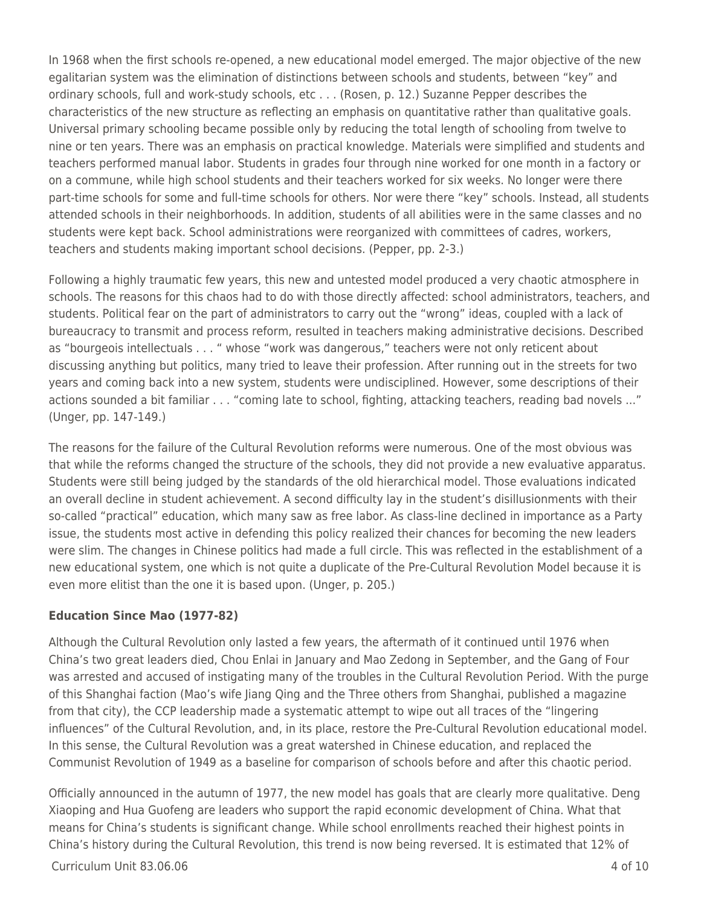In 1968 when the first schools re-opened, a new educational model emerged. The major objective of the new egalitarian system was the elimination of distinctions between schools and students, between "key" and ordinary schools, full and work-study schools, etc . . . (Rosen, p. 12.) Suzanne Pepper describes the characteristics of the new structure as reflecting an emphasis on quantitative rather than qualitative goals. Universal primary schooling became possible only by reducing the total length of schooling from twelve to nine or ten years. There was an emphasis on practical knowledge. Materials were simplified and students and teachers performed manual labor. Students in grades four through nine worked for one month in a factory or on a commune, while high school students and their teachers worked for six weeks. No longer were there part-time schools for some and full-time schools for others. Nor were there "key" schools. Instead, all students attended schools in their neighborhoods. In addition, students of all abilities were in the same classes and no students were kept back. School administrations were reorganized with committees of cadres, workers, teachers and students making important school decisions. (Pepper, pp. 2-3.)

Following a highly traumatic few years, this new and untested model produced a very chaotic atmosphere in schools. The reasons for this chaos had to do with those directly affected: school administrators, teachers, and students. Political fear on the part of administrators to carry out the "wrong" ideas, coupled with a lack of bureaucracy to transmit and process reform, resulted in teachers making administrative decisions. Described as "bourgeois intellectuals . . . " whose "work was dangerous," teachers were not only reticent about discussing anything but politics, many tried to leave their profession. After running out in the streets for two years and coming back into a new system, students were undisciplined. However, some descriptions of their actions sounded a bit familiar . . . "coming late to school, fighting, attacking teachers, reading bad novels ..." (Unger, pp. 147-149.)

The reasons for the failure of the Cultural Revolution reforms were numerous. One of the most obvious was that while the reforms changed the structure of the schools, they did not provide a new evaluative apparatus. Students were still being judged by the standards of the old hierarchical model. Those evaluations indicated an overall decline in student achievement. A second difficulty lay in the student's disillusionments with their so-called "practical" education, which many saw as free labor. As class-line declined in importance as a Party issue, the students most active in defending this policy realized their chances for becoming the new leaders were slim. The changes in Chinese politics had made a full circle. This was reflected in the establishment of a new educational system, one which is not quite a duplicate of the Pre-Cultural Revolution Model because it is even more elitist than the one it is based upon. (Unger, p. 205.)

### **Education Since Mao (1977-82)**

Although the Cultural Revolution only lasted a few years, the aftermath of it continued until 1976 when China's two great leaders died, Chou Enlai in January and Mao Zedong in September, and the Gang of Four was arrested and accused of instigating many of the troubles in the Cultural Revolution Period. With the purge of this Shanghai faction (Mao's wife Jiang Qing and the Three others from Shanghai, published a magazine from that city), the CCP leadership made a systematic attempt to wipe out all traces of the "lingering influences" of the Cultural Revolution, and, in its place, restore the Pre-Cultural Revolution educational model. In this sense, the Cultural Revolution was a great watershed in Chinese education, and replaced the Communist Revolution of 1949 as a baseline for comparison of schools before and after this chaotic period.

Officially announced in the autumn of 1977, the new model has goals that are clearly more qualitative. Deng Xiaoping and Hua Guofeng are leaders who support the rapid economic development of China. What that means for China's students is significant change. While school enrollments reached their highest points in China's history during the Cultural Revolution, this trend is now being reversed. It is estimated that 12% of

Curriculum Unit 83.06.06 4 of 10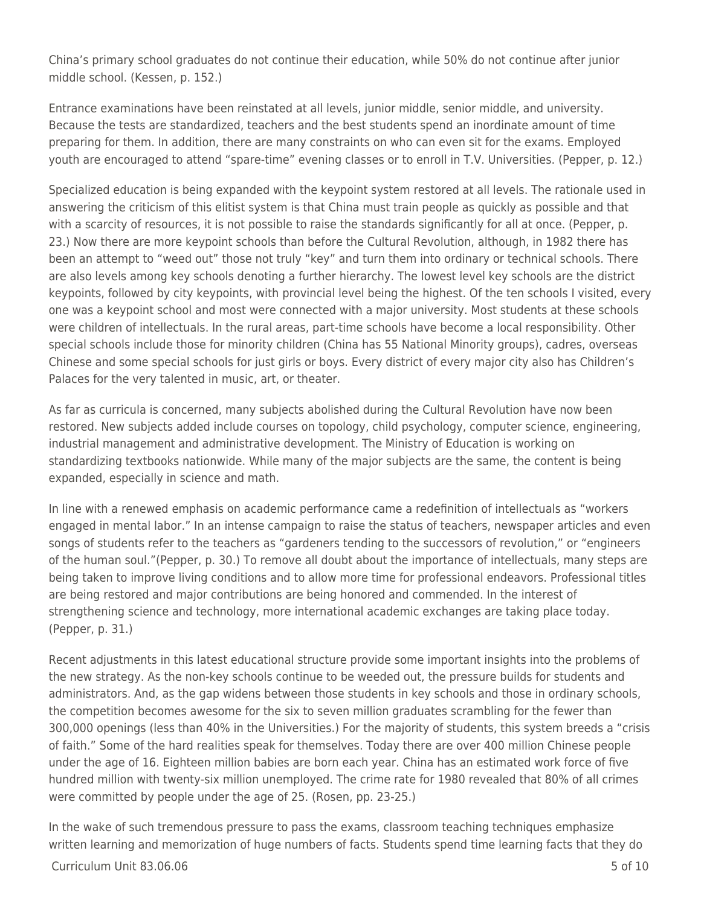China's primary school graduates do not continue their education, while 50% do not continue after junior middle school. (Kessen, p. 152.)

Entrance examinations have been reinstated at all levels, junior middle, senior middle, and university. Because the tests are standardized, teachers and the best students spend an inordinate amount of time preparing for them. In addition, there are many constraints on who can even sit for the exams. Employed youth are encouraged to attend "spare-time" evening classes or to enroll in T.V. Universities. (Pepper, p. 12.)

Specialized education is being expanded with the keypoint system restored at all levels. The rationale used in answering the criticism of this elitist system is that China must train people as quickly as possible and that with a scarcity of resources, it is not possible to raise the standards significantly for all at once. (Pepper, p. 23.) Now there are more keypoint schools than before the Cultural Revolution, although, in 1982 there has been an attempt to "weed out" those not truly "key" and turn them into ordinary or technical schools. There are also levels among key schools denoting a further hierarchy. The lowest level key schools are the district keypoints, followed by city keypoints, with provincial level being the highest. Of the ten schools I visited, every one was a keypoint school and most were connected with a major university. Most students at these schools were children of intellectuals. In the rural areas, part-time schools have become a local responsibility. Other special schools include those for minority children (China has 55 National Minority groups), cadres, overseas Chinese and some special schools for just girls or boys. Every district of every major city also has Children's Palaces for the very talented in music, art, or theater.

As far as curricula is concerned, many subjects abolished during the Cultural Revolution have now been restored. New subjects added include courses on topology, child psychology, computer science, engineering, industrial management and administrative development. The Ministry of Education is working on standardizing textbooks nationwide. While many of the major subjects are the same, the content is being expanded, especially in science and math.

In line with a renewed emphasis on academic performance came a redefinition of intellectuals as "workers engaged in mental labor." In an intense campaign to raise the status of teachers, newspaper articles and even songs of students refer to the teachers as "gardeners tending to the successors of revolution," or "engineers of the human soul."(Pepper, p. 30.) To remove all doubt about the importance of intellectuals, many steps are being taken to improve living conditions and to allow more time for professional endeavors. Professional titles are being restored and major contributions are being honored and commended. In the interest of strengthening science and technology, more international academic exchanges are taking place today. (Pepper, p. 31.)

Recent adjustments in this latest educational structure provide some important insights into the problems of the new strategy. As the non-key schools continue to be weeded out, the pressure builds for students and administrators. And, as the gap widens between those students in key schools and those in ordinary schools, the competition becomes awesome for the six to seven million graduates scrambling for the fewer than 300,000 openings (less than 40% in the Universities.) For the majority of students, this system breeds a "crisis of faith." Some of the hard realities speak for themselves. Today there are over 400 million Chinese people under the age of 16. Eighteen million babies are born each year. China has an estimated work force of five hundred million with twenty-six million unemployed. The crime rate for 1980 revealed that 80% of all crimes were committed by people under the age of 25. (Rosen, pp. 23-25.)

In the wake of such tremendous pressure to pass the exams, classroom teaching techniques emphasize written learning and memorization of huge numbers of facts. Students spend time learning facts that they do

#### $C$ urriculum Unit 83.06.06  $\overline{5}$  of 10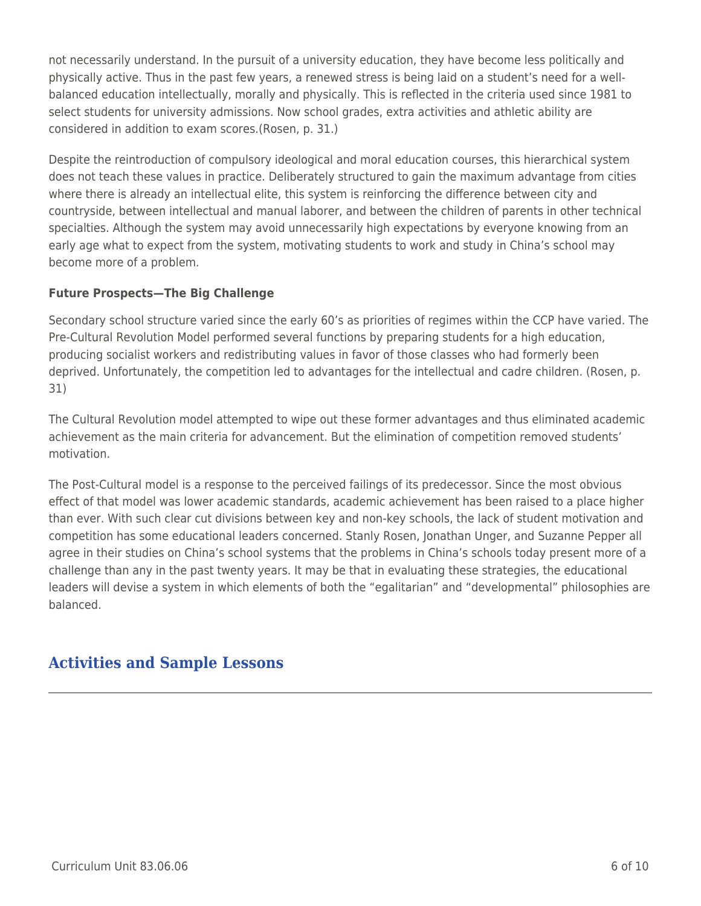not necessarily understand. In the pursuit of a university education, they have become less politically and physically active. Thus in the past few years, a renewed stress is being laid on a student's need for a wellbalanced education intellectually, morally and physically. This is reflected in the criteria used since 1981 to select students for university admissions. Now school grades, extra activities and athletic ability are considered in addition to exam scores.(Rosen, p. 31.)

Despite the reintroduction of compulsory ideological and moral education courses, this hierarchical system does not teach these values in practice. Deliberately structured to gain the maximum advantage from cities where there is already an intellectual elite, this system is reinforcing the difference between city and countryside, between intellectual and manual laborer, and between the children of parents in other technical specialties. Although the system may avoid unnecessarily high expectations by everyone knowing from an early age what to expect from the system, motivating students to work and study in China's school may become more of a problem.

### **Future Prospects—The Big Challenge**

Secondary school structure varied since the early 60's as priorities of regimes within the CCP have varied. The Pre-Cultural Revolution Model performed several functions by preparing students for a high education, producing socialist workers and redistributing values in favor of those classes who had formerly been deprived. Unfortunately, the competition led to advantages for the intellectual and cadre children. (Rosen, p. 31)

The Cultural Revolution model attempted to wipe out these former advantages and thus eliminated academic achievement as the main criteria for advancement. But the elimination of competition removed students' motivation.

The Post-Cultural model is a response to the perceived failings of its predecessor. Since the most obvious effect of that model was lower academic standards, academic achievement has been raised to a place higher than ever. With such clear cut divisions between key and non-key schools, the lack of student motivation and competition has some educational leaders concerned. Stanly Rosen, Jonathan Unger, and Suzanne Pepper all agree in their studies on China's school systems that the problems in China's schools today present more of a challenge than any in the past twenty years. It may be that in evaluating these strategies, the educational leaders will devise a system in which elements of both the "egalitarian" and "developmental" philosophies are balanced.

## **Activities and Sample Lessons**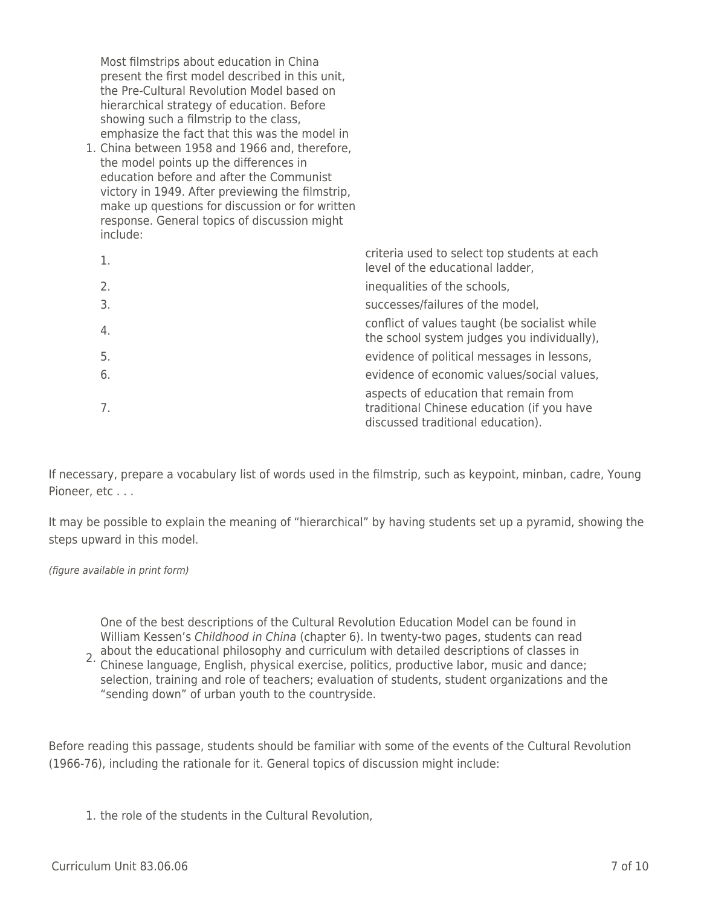Most filmstrips about education in China present the first model described in this unit, the Pre-Cultural Revolution Model based on hierarchical strategy of education. Before showing such a filmstrip to the class, emphasize the fact that this was the model in

1. China between 1958 and 1966 and, therefore, the model points up the differences in education before and after the Communist victory in 1949. After previewing the filmstrip, make up questions for discussion or for written response. General topics of discussion might include:

| 1. | criteria used to select top students at each<br>level of the educational ladder,                                         |
|----|--------------------------------------------------------------------------------------------------------------------------|
| 2. | inequalities of the schools,                                                                                             |
| 3. | successes/failures of the model,                                                                                         |
| 4. | conflict of values taught (be socialist while<br>the school system judges you individually),                             |
| 5. | evidence of political messages in lessons,                                                                               |
| 6. | evidence of economic values/social values,                                                                               |
| 7. | aspects of education that remain from<br>traditional Chinese education (if you have<br>discussed traditional education). |

If necessary, prepare a vocabulary list of words used in the filmstrip, such as keypoint, minban, cadre, Young Pioneer, etc . . .

It may be possible to explain the meaning of "hierarchical" by having students set up a pyramid, showing the steps upward in this model.

#### (figure available in print form)

One of the best descriptions of the Cultural Revolution Education Model can be found in William Kessen's Childhood in China (chapter 6). In twenty-two pages, students can read

2. about the educational philosophy and curriculum with detailed descriptions of classes in<br>2. Chinose language, English, physical exercise, politics, productive labor, music and dance Chinese language, English, physical exercise, politics, productive labor, music and dance; selection, training and role of teachers; evaluation of students, student organizations and the "sending down" of urban youth to the countryside.

Before reading this passage, students should be familiar with some of the events of the Cultural Revolution (1966-76), including the rationale for it. General topics of discussion might include:

1. the role of the students in the Cultural Revolution,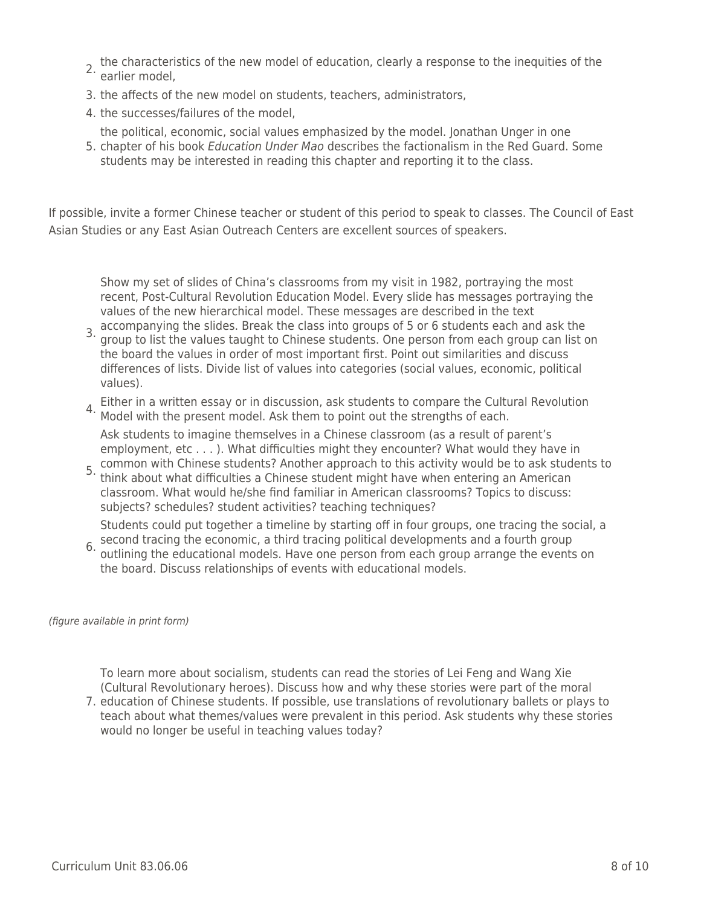- 2. the characteristics of the new model of education, clearly a response to the inequities of the earlier model,
- 3. the affects of the new model on students, teachers, administrators,
- 4. the successes/failures of the model,
- 5. chapter of his book Education Under Mao describes the factionalism in the Red Guard. Some the political, economic, social values emphasized by the model. Jonathan Unger in one
- students may be interested in reading this chapter and reporting it to the class.

If possible, invite a former Chinese teacher or student of this period to speak to classes. The Council of East Asian Studies or any East Asian Outreach Centers are excellent sources of speakers.

Show my set of slides of China's classrooms from my visit in 1982, portraying the most recent, Post-Cultural Revolution Education Model. Every slide has messages portraying the values of the new hierarchical model. These messages are described in the text

- 3. accompanying the slides. Break the class into groups of 5 or 6 students each and ask the<br>3. aroun to list the values taught to Chinese students. One person from each group san list. group to list the values taught to Chinese students. One person from each group can list on the board the values in order of most important first. Point out similarities and discuss differences of lists. Divide list of values into categories (social values, economic, political values).
- 4. Either in a written essay or in discussion, ask students to compare the Cultural Revolution<br><sup>4.</sup> Model with the present model. Ask them to point out the strengths of each.

Ask students to imagine themselves in a Chinese classroom (as a result of parent's employment, etc . . . ). What difficulties might they encounter? What would they have in common with Chinese students? Another approach to this activity would be to ask students to

5. think about what difficulties a Chinese student might have when entering an American classroom. What would he/she find familiar in American classrooms? Topics to discuss: subjects? schedules? student activities? teaching techniques?

Students could put together a timeline by starting off in four groups, one tracing the social, a

6. second tracing the economic, a third tracing political developments and a fourth group<br>6. outlining the educational models. Have and person from each group arrange the event outlining the educational models. Have one person from each group arrange the events on the board. Discuss relationships of events with educational models.

(figure available in print form)

To learn more about socialism, students can read the stories of Lei Feng and Wang Xie (Cultural Revolutionary heroes). Discuss how and why these stories were part of the moral

7. education of Chinese students. If possible, use translations of revolutionary ballets or plays to teach about what themes/values were prevalent in this period. Ask students why these stories would no longer be useful in teaching values today?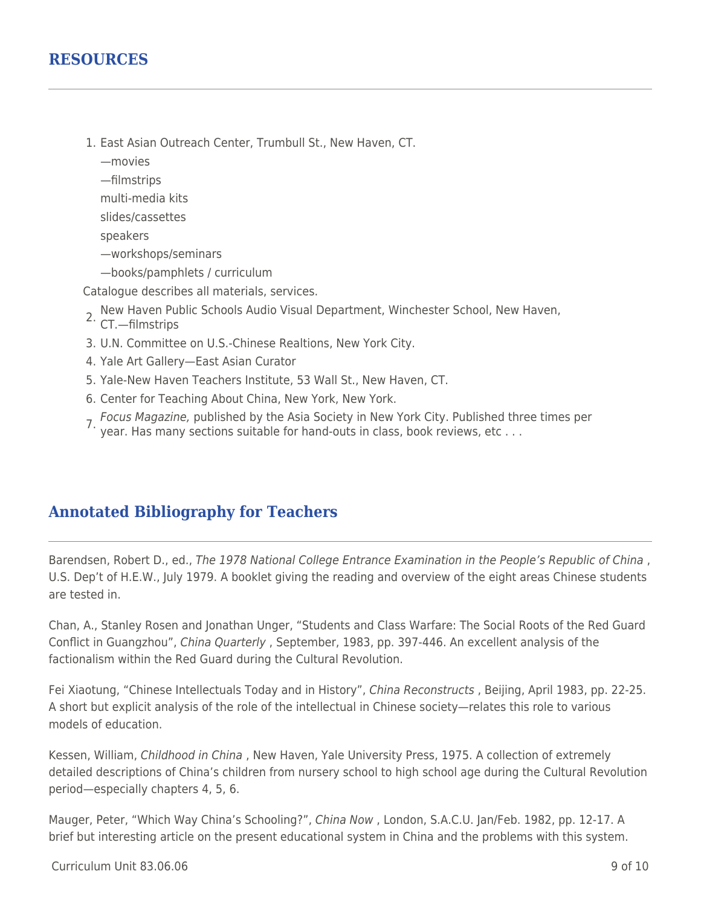- 1. East Asian Outreach Center, Trumbull St., New Haven, CT.
	- —movies
	- —filmstrips
	- multi-media kits
	- slides/cassettes
	- speakers
	- —workshops/seminars
	- —books/pamphlets / curriculum

Catalogue describes all materials, services.

- 2. New Haven Public Schools Audio Visual Department, Winchester School, New Haven, CT.—filmstrips
- 
- 3. U.N. Committee on U.S.-Chinese Realtions, New York City.
- 4. Yale Art Gallery—East Asian Curator
- 5. Yale-New Haven Teachers Institute, 53 Wall St., New Haven, CT.
- 6. Center for Teaching About China, New York, New York.
- 7. Focus Magazine, published by the Asia Society in New York City. Published three times per<br>1. year. Has many sections suitable for hand-outs in class, book reviews, etc . . .

## **Annotated Bibliography for Teachers**

Barendsen, Robert D., ed., The 1978 National College Entrance Examination in the People's Republic of China , U.S. Dep't of H.E.W., July 1979. A booklet giving the reading and overview of the eight areas Chinese students are tested in.

Chan, A., Stanley Rosen and Jonathan Unger, "Students and Class Warfare: The Social Roots of the Red Guard Conflict in Guangzhou", China Quarterly , September, 1983, pp. 397-446. An excellent analysis of the factionalism within the Red Guard during the Cultural Revolution.

Fei Xiaotung, "Chinese Intellectuals Today and in History", China Reconstructs , Beijing, April 1983, pp. 22-25. A short but explicit analysis of the role of the intellectual in Chinese society—relates this role to various models of education.

Kessen, William, Childhood in China , New Haven, Yale University Press, 1975. A collection of extremely detailed descriptions of China's children from nursery school to high school age during the Cultural Revolution period—especially chapters 4, 5, 6.

Mauger, Peter, "Which Way China's Schooling?", China Now , London, S.A.C.U. Jan/Feb. 1982, pp. 12-17. A brief but interesting article on the present educational system in China and the problems with this system.